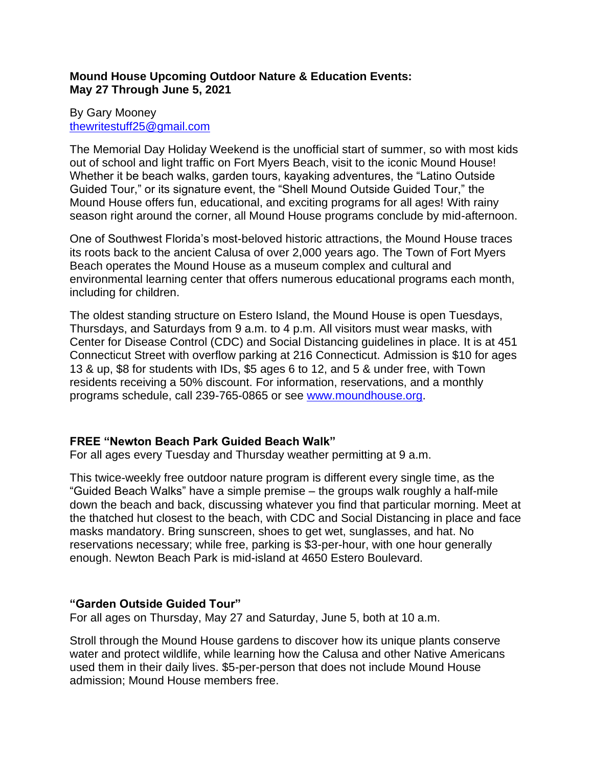## **Mound House Upcoming Outdoor Nature & Education Events: May 27 Through June 5, 2021**

### By Gary Mooney [thewritestuff25@gmail.com](mailto:thewritestuff25@gmail.com)

The Memorial Day Holiday Weekend is the unofficial start of summer, so with most kids out of school and light traffic on Fort Myers Beach, visit to the iconic Mound House! Whether it be beach walks, garden tours, kayaking adventures, the "Latino Outside Guided Tour," or its signature event, the "Shell Mound Outside Guided Tour," the Mound House offers fun, educational, and exciting programs for all ages! With rainy season right around the corner, all Mound House programs conclude by mid-afternoon.

One of Southwest Florida's most-beloved historic attractions, the Mound House traces its roots back to the ancient Calusa of over 2,000 years ago. The Town of Fort Myers Beach operates the Mound House as a museum complex and cultural and environmental learning center that offers numerous educational programs each month, including for children.

The oldest standing structure on Estero Island, the Mound House is open Tuesdays, Thursdays, and Saturdays from 9 a.m. to 4 p.m. All visitors must wear masks, with Center for Disease Control (CDC) and Social Distancing guidelines in place. It is at 451 Connecticut Street with overflow parking at 216 Connecticut. Admission is \$10 for ages 13 & up, \$8 for students with IDs, \$5 ages 6 to 12, and 5 & under free, with Town residents receiving a 50% discount. For information, reservations, and a monthly programs schedule, call 239-765-0865 or see [www.moundhouse.org.](http://www.moundhouse.org/)

# **FREE "Newton Beach Park Guided Beach Walk"**

For all ages every Tuesday and Thursday weather permitting at 9 a.m.

This twice-weekly free outdoor nature program is different every single time, as the "Guided Beach Walks" have a simple premise – the groups walk roughly a half-mile down the beach and back, discussing whatever you find that particular morning. Meet at the thatched hut closest to the beach, with CDC and Social Distancing in place and face masks mandatory. Bring sunscreen, shoes to get wet, sunglasses, and hat. No reservations necessary; while free, parking is \$3-per-hour, with one hour generally enough. Newton Beach Park is mid-island at 4650 Estero Boulevard.

## **"Garden Outside Guided Tour"**

For all ages on Thursday, May 27 and Saturday, June 5, both at 10 a.m.

Stroll through the Mound House gardens to discover how its unique plants conserve water and protect wildlife, while learning how the Calusa and other Native Americans used them in their daily lives. \$5-per-person that does not include Mound House admission; Mound House members free.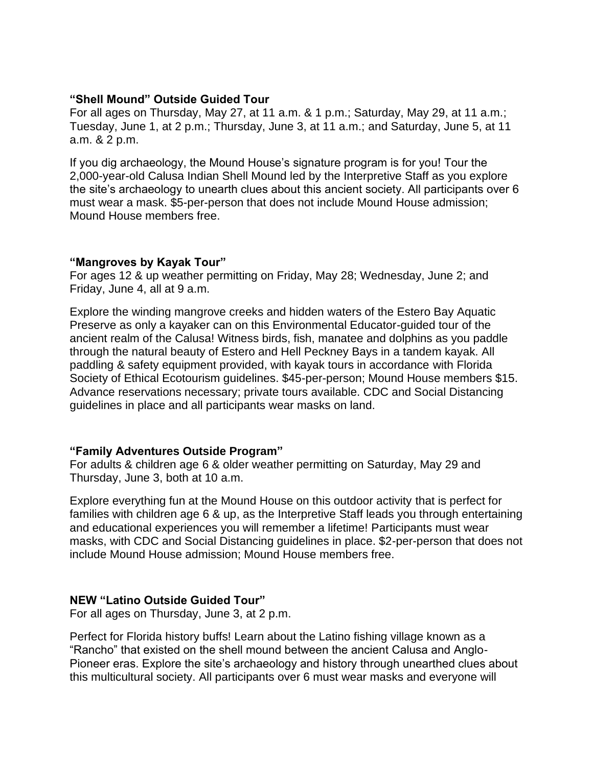### **"Shell Mound" Outside Guided Tour**

For all ages on Thursday, May 27, at 11 a.m. & 1 p.m.; Saturday, May 29, at 11 a.m.; Tuesday, June 1, at 2 p.m.; Thursday, June 3, at 11 a.m.; and Saturday, June 5, at 11 a.m. & 2 p.m.

If you dig archaeology, the Mound House's signature program is for you! Tour the 2,000-year-old Calusa Indian Shell Mound led by the Interpretive Staff as you explore the site's archaeology to unearth clues about this ancient society. All participants over 6 must wear a mask. \$5-per-person that does not include Mound House admission; Mound House members free.

#### **"Mangroves by Kayak Tour"**

For ages 12 & up weather permitting on Friday, May 28; Wednesday, June 2; and Friday, June 4, all at 9 a.m.

Explore the winding mangrove creeks and hidden waters of the Estero Bay Aquatic Preserve as only a kayaker can on this Environmental Educator-guided tour of the ancient realm of the Calusa! Witness birds, fish, manatee and dolphins as you paddle through the natural beauty of Estero and Hell Peckney Bays in a tandem kayak. All paddling & safety equipment provided, with kayak tours in accordance with Florida Society of Ethical Ecotourism guidelines. \$45-per-person; Mound House members \$15. Advance reservations necessary; private tours available. CDC and Social Distancing guidelines in place and all participants wear masks on land.

## **"Family Adventures Outside Program"**

For adults & children age 6 & older weather permitting on Saturday, May 29 and Thursday, June 3, both at 10 a.m.

Explore everything fun at the Mound House on this outdoor activity that is perfect for families with children age 6 & up, as the Interpretive Staff leads you through entertaining and educational experiences you will remember a lifetime! Participants must wear masks, with CDC and Social Distancing guidelines in place. \$2-per-person that does not include Mound House admission; Mound House members free.

## **NEW "Latino Outside Guided Tour"**

For all ages on Thursday, June 3, at 2 p.m.

Perfect for Florida history buffs! Learn about the Latino fishing village known as a "Rancho" that existed on the shell mound between the ancient Calusa and Anglo-Pioneer eras. Explore the site's archaeology and history through unearthed clues about this multicultural society. All participants over 6 must wear masks and everyone will